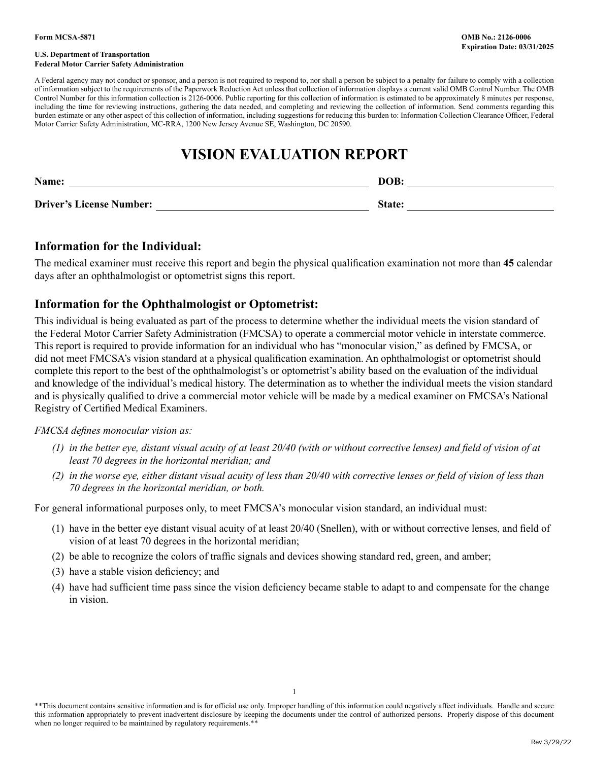#### **U.S. Department of Transportation Federal Motor Carrier Safety Administration**

A Federal agency may not conduct or sponsor, and a person is not required to respond to, nor shall a person be subject to a penalty for failure to comply with a collection of information subject to the requirements of the Paperwork Reduction Act unless that collection of information displays a current valid OMB Control Number. The OMB Control Number for this information collection is 2126-0006. Public reporting for this collection of information is estimated to be approximately 8 minutes per response, including the time for reviewing instructions, gathering the data needed, and completing and reviewing the collection of information. Send comments regarding this burden estimate or any other aspect of this collection of information, including suggestions for reducing this burden to: Information Collection Clearance Officer, Federal Motor Carrier Safety Administration, MC-RRA, 1200 New Jersey Avenue SE, Washington, DC 20590.

# **VISION EVALUATION REPORT**

| Name:                           | DOB           |  |
|---------------------------------|---------------|--|
| <b>Driver's License Number:</b> | <b>State:</b> |  |

## **Information for the Individual:**

The medical examiner must receive this report and begin the physical qualification examination not more than **45** calendar days after an ophthalmologist or optometrist signs this report.

## **Information for the Ophthalmologist or Optometrist:**

This individual is being evaluated as part of the process to determine whether the individual meets the vision standard of the Federal Motor Carrier Safety Administration (FMCSA) to operate a commercial motor vehicle in interstate commerce. This report is required to provide information for an individual who has "monocular vision," as defined by FMCSA, or did not meet FMCSA's vision standard at a physical qualification examination. An ophthalmologist or optometrist should complete this report to the best of the ophthalmologist's or optometrist's ability based on the evaluation of the individual and knowledge of the individual's medical history. The determination as to whether the individual meets the vision standard and is physically qualified to drive a commercial motor vehicle will be made by a medical examiner on FMCSA's National Registry of Certified Medical Examiners.

#### *FMCSA defines monocular vision as:*

- *(1) in the better eye, distant visual acuity of at least 20/40 (with or without corrective lenses) and field of vision of at least 70 degrees in the horizontal meridian; and*
- *(2) in the worse eye, either distant visual acuity of less than 20/40 with corrective lenses or field of vision of less than 70 degrees in the horizontal meridian, or both.*

For general informational purposes only, to meet FMCSA's monocular vision standard, an individual must:

- (1) have in the better eye distant visual acuity of at least 20/40 (Snellen), with or without corrective lenses, and field of vision of at least 70 degrees in the horizontal meridian;
- (2) be able to recognize the colors of traffic signals and devices showing standard red, green, and amber;
- (3) have a stable vision deficiency; and
- (4) have had sufficient time pass since the vision deficiency became stable to adapt to and compensate for the change in vision.

\*\*This document contains sensitive information and is for official use only. Improper handling of this information could negatively affect individuals. Handle and secure this information appropriately to prevent inadvertent disclosure by keeping the documents under the control of authorized persons. Properly dispose of this document when no longer required to be maintained by regulatory requirements.\*\*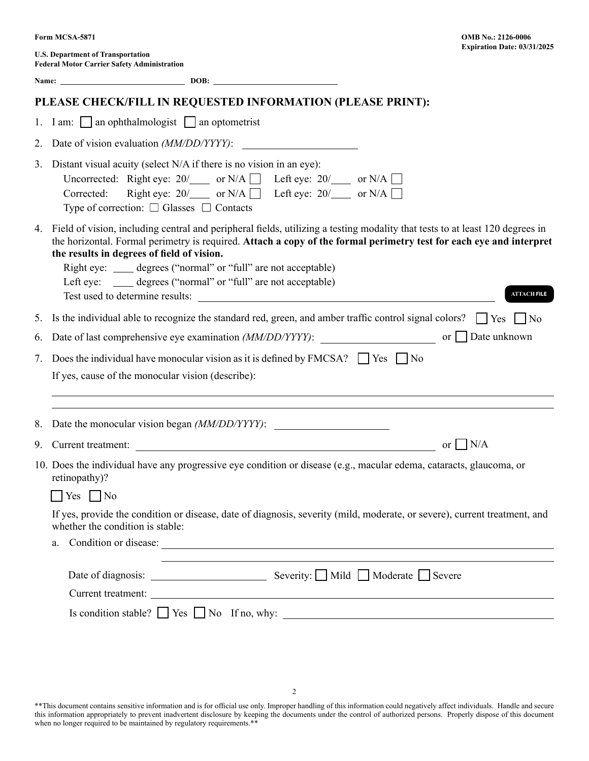**U.S. Department of Transportation Federal Motor Carrier Safety Administration** 

|    | PLEASE CHECK/FILL IN REQUESTED INFORMATION (PLEASE PRINT):                                                                                                                                                                                                                                                                                                                                                                                                        |  |  |  |
|----|-------------------------------------------------------------------------------------------------------------------------------------------------------------------------------------------------------------------------------------------------------------------------------------------------------------------------------------------------------------------------------------------------------------------------------------------------------------------|--|--|--|
|    | 1. I am: $\Box$ an ophthalmologist $\Box$ an optometrist                                                                                                                                                                                                                                                                                                                                                                                                          |  |  |  |
| 2. | Date of vision evaluation ( <i>MM/DD/YYYY)</i> :                                                                                                                                                                                                                                                                                                                                                                                                                  |  |  |  |
|    | 3. Distant visual acuity (select N/A if there is no vision in an eye):<br>Uncorrected: Right eye: $20/$ or N/A $\Box$ Left eye: $20/$ or N/A $\Box$<br>Right eye: $20/$ or N/A $\Box$ Left eye: $20/$ or N/A $\Box$<br>Corrected:<br>Type of correction: $\Box$ Glasses $\Box$ Contacts                                                                                                                                                                           |  |  |  |
|    | 4. Field of vision, including central and peripheral fields, utilizing a testing modality that tests to at least 120 degrees in<br>the horizontal. Formal perimetry is required. Attach a copy of the formal perimetry test for each eye and interpret<br>the results in degrees of field of vision.<br>Right eye: _____ degrees ("normal" or "full" are not acceptable)<br>Left eye: _____ degrees ("normal" or "full" are not acceptable)<br><b>ATTACH FILE</b> |  |  |  |
|    | 5. Is the individual able to recognize the standard red, green, and amber traffic control signal colors? $\Box$ Yes $\Box$ No                                                                                                                                                                                                                                                                                                                                     |  |  |  |
| 6. |                                                                                                                                                                                                                                                                                                                                                                                                                                                                   |  |  |  |
| 7. | Does the individual have monocular vision as it is defined by FMCSA? $\Box$ Yes $\Box$ No<br>If yes, cause of the monocular vision (describe):                                                                                                                                                                                                                                                                                                                    |  |  |  |
|    | 8. Date the monocular vision began (MM/DD/YYYY):                                                                                                                                                                                                                                                                                                                                                                                                                  |  |  |  |
|    | or $\mid N/A$                                                                                                                                                                                                                                                                                                                                                                                                                                                     |  |  |  |
|    | 10. Does the individual have any progressive eye condition or disease (e.g., macular edema, cataracts, glaucoma, or<br>retinopathy)?                                                                                                                                                                                                                                                                                                                              |  |  |  |
|    | $Yes \mid No$                                                                                                                                                                                                                                                                                                                                                                                                                                                     |  |  |  |
|    | If yes, provide the condition or disease, date of diagnosis, severity (mild, moderate, or severe), current treatment, and<br>whether the condition is stable:                                                                                                                                                                                                                                                                                                     |  |  |  |
|    | Condition or disease:<br>a.                                                                                                                                                                                                                                                                                                                                                                                                                                       |  |  |  |
|    |                                                                                                                                                                                                                                                                                                                                                                                                                                                                   |  |  |  |
|    |                                                                                                                                                                                                                                                                                                                                                                                                                                                                   |  |  |  |
|    |                                                                                                                                                                                                                                                                                                                                                                                                                                                                   |  |  |  |
|    |                                                                                                                                                                                                                                                                                                                                                                                                                                                                   |  |  |  |

\*\*This document contains sensitive information and is for official use only. Improper handling of this information could negatively affect individuals. Handle and secure this information appropriately to prevent inadvertent disclosure by keeping the documents under the control of authorized persons. Properly dispose of this document when no longer required to be maintained by regulatory requirements.\*\*